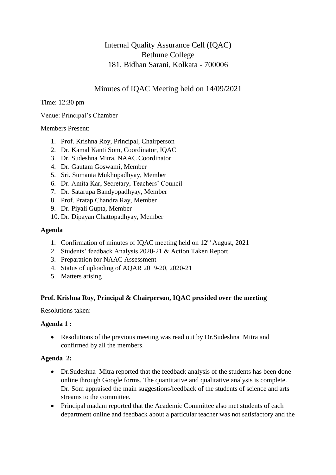# Internal Quality Assurance Cell (IQAC) Bethune College 181, Bidhan Sarani, Kolkata - 700006

## Minutes of IQAC Meeting held on 14/09/2021

Time: 12:30 pm

Venue: Principal's Chamber

Members Present:

- 1. Prof. Krishna Roy, Principal, Chairperson
- 2. Dr. Kamal Kanti Som, Coordinator, IQAC
- 3. Dr. Sudeshna Mitra, NAAC Coordinator
- 4. Dr. Gautam Goswami, Member
- 5. Sri. Sumanta Mukhopadhyay, Member
- 6. Dr. Amita Kar, Secretary, Teachers' Council
- 7. Dr. Satarupa Bandyopadhyay, Member
- 8. Prof. Pratap Chandra Ray, Member
- 9. Dr. Piyali Gupta, Member
- 10. Dr. Dipayan Chattopadhyay, Member

#### **Agenda**

- 1. Confirmation of minutes of IQAC meeting held on  $12<sup>th</sup>$  August, 2021
- 2. Students' feedback Analysis 2020-21 & Action Taken Report
- 3. Preparation for NAAC Assessment
- 4. Status of uploading of AQAR 2019-20, 2020-21
- 5. Matters arising

#### **Prof. Krishna Roy, Principal & Chairperson, IQAC presided over the meeting**

Resolutions taken:

#### **Agenda 1 :**

• Resolutions of the previous meeting was read out by Dr. Sudeshna Mitra and confirmed by all the members.

#### **Agenda 2:**

- Dr.Sudeshna Mitra reported that the feedback analysis of the students has been done online through Google forms. The quantitative and qualitative analysis is complete. Dr. Som appraised the main suggestions/feedback of the students of science and arts streams to the committee.
- Principal madam reported that the Academic Committee also met students of each department online and feedback about a particular teacher was not satisfactory and the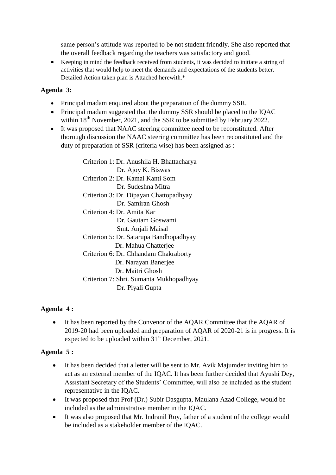same person's attitude was reported to be not student friendly. She also reported that the overall feedback regarding the teachers was satisfactory and good.

 Keeping in mind the feedback received from students, it was decided to initiate a string of activities that would help to meet the demands and expectations of the students better. Detailed Action taken plan is Attached herewith.\*

### **Agenda 3:**

- Principal madam enquired about the preparation of the dummy SSR.
- Principal madam suggested that the dummy SSR should be placed to the IQAC within  $18^{th}$  November, 2021, and the SSR to be submitted by February 2022.
- It was proposed that NAAC steering committee need to be reconstituted. After thorough discussion the NAAC steering committee has been reconstituted and the duty of preparation of SSR (criteria wise) has been assigned as :

Criterion 1: Dr. Anushila H. Bhattacharya Dr. Ajoy K. Biswas Criterion 2: Dr. Kamal Kanti Som Dr. Sudeshna Mitra Criterion 3: Dr. Dipayan Chattopadhyay Dr. Samiran Ghosh Criterion 4: Dr. Amita Kar Dr. Gautam Goswami Smt. Anjali Maisal Criterion 5: Dr. Satarupa Bandhopadhyay Dr. Mahua Chatterjee Criterion 6: Dr. Chhandam Chakraborty Dr. Narayan Banerjee Dr. Maitri Ghosh Criterion 7: Shri. Sumanta Mukhopadhyay Dr. Piyali Gupta

#### **Agenda 4 :**

 It has been reported by the Convenor of the AQAR Committee that the AQAR of 2019-20 had been uploaded and preparation of AQAR of 2020-21 is in progress. It is expected to be uploaded within  $31<sup>st</sup>$  December, 2021.

#### **Agenda 5 :**

- It has been decided that a letter will be sent to Mr. Avik Majumder inviting him to act as an external member of the IQAC. It has been further decided that Ayushi Dey, Assistant Secretary of the Students' Committee, will also be included as the student representative in the IQAC.
- It was proposed that Prof (Dr.) Subir Dasgupta, Maulana Azad College, would be included as the administrative member in the IQAC.
- It was also proposed that Mr. Indranil Roy, father of a student of the college would be included as a stakeholder member of the IQAC.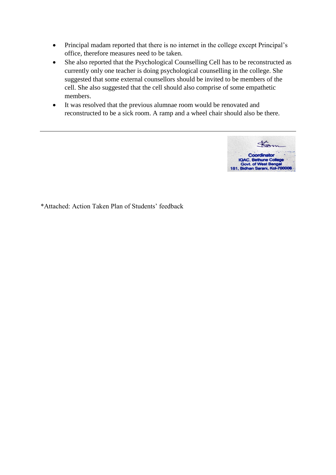- Principal madam reported that there is no internet in the college except Principal's office, therefore measures need to be taken.
- She also reported that the Psychological Counselling Cell has to be reconstructed as currently only one teacher is doing psychological counselling in the college. She suggested that some external counsellors should be invited to be members of the cell. She also suggested that the cell should also comprise of some empathetic members.
- It was resolved that the previous alumnae room would be renovated and reconstructed to be a sick room. A ramp and a wheel chair should also be there.



\*Attached: Action Taken Plan of Students' feedback